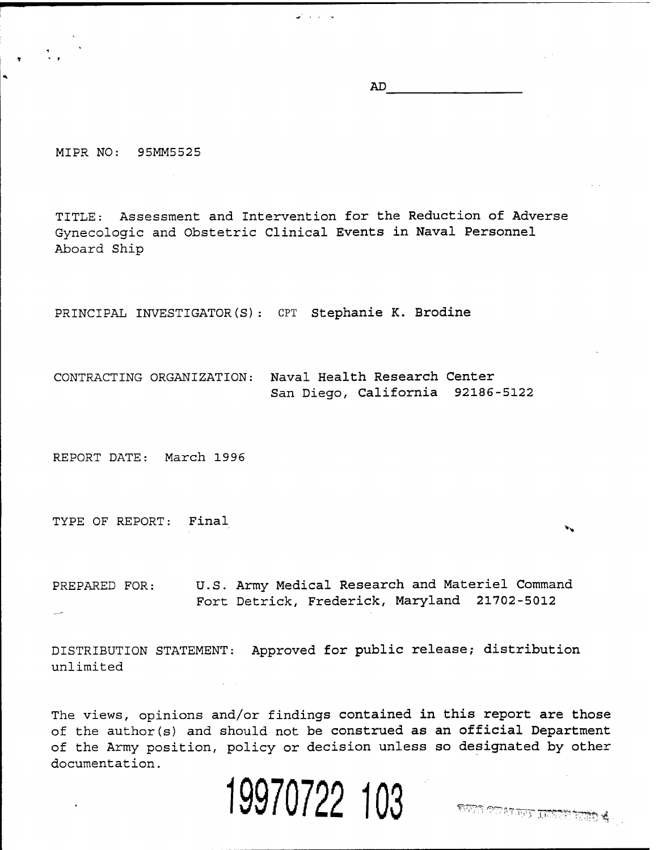AD

MIPR NO: 95MM5525

TITLE: Assessment and Intervention for the Reduction of Adverse Gynecologic and Obstetric Clinical Events in Naval Personnel Aboard Ship

PRINCIPAL INVESTIGATOR(S): CPT Stephanie K. Brodine

CONTRACTING ORGANIZATION: Naval Health Research Center San Diego, California 92186-5122

REPORT DATE: March 1996

TYPE OF REPORT: Final

PREPARED FOR: U.S. Army Medical Research and Materiel Command Fort Detrick, Frederick, Maryland 21702-5012

DISTRIBUTION STATEMENT: Approved for public release; distribution unlimited

The views, opinions and/or findings contained in this report are those of the author(s) and should not be construed as an official Department of the Army position, policy or decision unless so designated by other documentation.

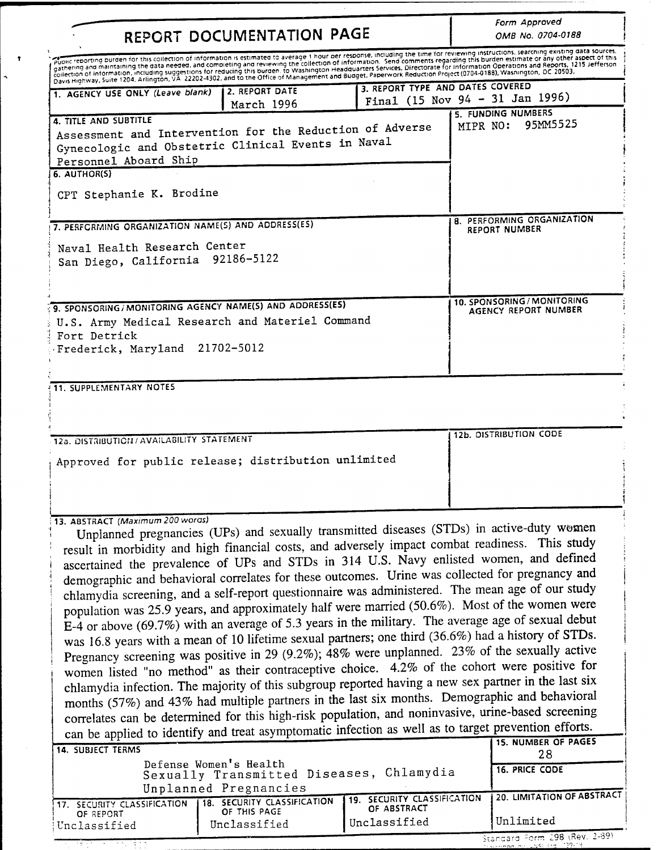| REPORT DOCUMENTATION PAGE                                                                                                                                                                                                                                                                                                                                                                                                                                                                                                                                                                                                                                                                                                                                                                                                                                                                                                                                                                                                                                                                                                                                                                                                                                                                                                                                                                                                                                                                                                                                                                                                                                                                                               | Form Approved<br>OMB No. 0704-0188          |                                  |                                                                                                                                                                                                                                                                                                                                                                                                                                                                                                                                                                                                                 |  |  |  |
|-------------------------------------------------------------------------------------------------------------------------------------------------------------------------------------------------------------------------------------------------------------------------------------------------------------------------------------------------------------------------------------------------------------------------------------------------------------------------------------------------------------------------------------------------------------------------------------------------------------------------------------------------------------------------------------------------------------------------------------------------------------------------------------------------------------------------------------------------------------------------------------------------------------------------------------------------------------------------------------------------------------------------------------------------------------------------------------------------------------------------------------------------------------------------------------------------------------------------------------------------------------------------------------------------------------------------------------------------------------------------------------------------------------------------------------------------------------------------------------------------------------------------------------------------------------------------------------------------------------------------------------------------------------------------------------------------------------------------|---------------------------------------------|----------------------------------|-----------------------------------------------------------------------------------------------------------------------------------------------------------------------------------------------------------------------------------------------------------------------------------------------------------------------------------------------------------------------------------------------------------------------------------------------------------------------------------------------------------------------------------------------------------------------------------------------------------------|--|--|--|
|                                                                                                                                                                                                                                                                                                                                                                                                                                                                                                                                                                                                                                                                                                                                                                                                                                                                                                                                                                                                                                                                                                                                                                                                                                                                                                                                                                                                                                                                                                                                                                                                                                                                                                                         |                                             |                                  | Public reporting burden for this collection of information is estimated to average 1 hour per response, including the time for reviewing instructions, searching existing data sources,<br>gathering and maintaining the data needed, and completing and reviewing the collection of information. Send comments regarding this burden estimate or any other aspect of this<br>gationing and mannering the duty receiver and complementing and revening the conecion of information center of profections and Reports, 1215 lefterson<br>collection of information, including suggestions for reducing this burd |  |  |  |
| 1. AGENCY USE ONLY (Leave blank)                                                                                                                                                                                                                                                                                                                                                                                                                                                                                                                                                                                                                                                                                                                                                                                                                                                                                                                                                                                                                                                                                                                                                                                                                                                                                                                                                                                                                                                                                                                                                                                                                                                                                        | 2. REPORT DATE<br>March 1996                | 3. REPORT TYPE AND DATES COVERED | Final (15 Nov 94 - 31 Jan 1996)                                                                                                                                                                                                                                                                                                                                                                                                                                                                                                                                                                                 |  |  |  |
| 4. TITLE AND SUBTITLE<br>Assessment and Intervention for the Reduction of Adverse<br>Gynecologic and Obstetric Clinical Events in Naval<br>Personnel Aboard Ship<br>6. AUTHOR(S)<br>CPT Stephanie K. Brodine                                                                                                                                                                                                                                                                                                                                                                                                                                                                                                                                                                                                                                                                                                                                                                                                                                                                                                                                                                                                                                                                                                                                                                                                                                                                                                                                                                                                                                                                                                            | 5. FUNDING NUMBERS<br>95MM5525<br>MIPR NO:  |                                  |                                                                                                                                                                                                                                                                                                                                                                                                                                                                                                                                                                                                                 |  |  |  |
|                                                                                                                                                                                                                                                                                                                                                                                                                                                                                                                                                                                                                                                                                                                                                                                                                                                                                                                                                                                                                                                                                                                                                                                                                                                                                                                                                                                                                                                                                                                                                                                                                                                                                                                         |                                             |                                  | <b>8. PERFORMING ORGANIZATION</b>                                                                                                                                                                                                                                                                                                                                                                                                                                                                                                                                                                               |  |  |  |
| 7. PERFORMING ORGANIZATION NAME(S) AND ADDRESS(ES)<br>Naval Health Research Center<br>San Diego, California 92186-5122                                                                                                                                                                                                                                                                                                                                                                                                                                                                                                                                                                                                                                                                                                                                                                                                                                                                                                                                                                                                                                                                                                                                                                                                                                                                                                                                                                                                                                                                                                                                                                                                  |                                             |                                  | <b>REPORT NUMBER</b>                                                                                                                                                                                                                                                                                                                                                                                                                                                                                                                                                                                            |  |  |  |
| 9. SPONSORING / MONITORING AGENCY NAME(S) AND ADDRESS(ES)<br>U.S. Army Medical Research and Materiel Command<br>Fort Detrick<br>Frederick, Maryland 21702-5012                                                                                                                                                                                                                                                                                                                                                                                                                                                                                                                                                                                                                                                                                                                                                                                                                                                                                                                                                                                                                                                                                                                                                                                                                                                                                                                                                                                                                                                                                                                                                          |                                             |                                  | 10. SPONSORING / MONITORING<br>AGENCY REPORT NUMBER                                                                                                                                                                                                                                                                                                                                                                                                                                                                                                                                                             |  |  |  |
| <b>11. SUPPLEMENTARY NOTES</b>                                                                                                                                                                                                                                                                                                                                                                                                                                                                                                                                                                                                                                                                                                                                                                                                                                                                                                                                                                                                                                                                                                                                                                                                                                                                                                                                                                                                                                                                                                                                                                                                                                                                                          |                                             |                                  |                                                                                                                                                                                                                                                                                                                                                                                                                                                                                                                                                                                                                 |  |  |  |
| 12a. DISTRIBUTION / AVAILABILITY STATEMENT                                                                                                                                                                                                                                                                                                                                                                                                                                                                                                                                                                                                                                                                                                                                                                                                                                                                                                                                                                                                                                                                                                                                                                                                                                                                                                                                                                                                                                                                                                                                                                                                                                                                              |                                             |                                  | 12b. DISTRIBUTION CODE                                                                                                                                                                                                                                                                                                                                                                                                                                                                                                                                                                                          |  |  |  |
| Approved for public release; distribution unlimited                                                                                                                                                                                                                                                                                                                                                                                                                                                                                                                                                                                                                                                                                                                                                                                                                                                                                                                                                                                                                                                                                                                                                                                                                                                                                                                                                                                                                                                                                                                                                                                                                                                                     |                                             |                                  |                                                                                                                                                                                                                                                                                                                                                                                                                                                                                                                                                                                                                 |  |  |  |
| 13. ABSTRACT (Maximum 200 words)<br>Unplanned pregnancies (UPs) and sexually transmitted diseases (STDs) in active-duty women<br>result in morbidity and high financial costs, and adversely impact combat readiness. This study<br>ascertained the prevalence of UPs and STDs in 314 U.S. Navy enlisted women, and defined<br>demographic and behavioral correlates for these outcomes. Urine was collected for pregnancy and<br>chlamydia screening, and a self-report questionnaire was administered. The mean age of our study<br>population was 25.9 years, and approximately half were married (50.6%). Most of the women were<br>E-4 or above (69.7%) with an average of 5.3 years in the military. The average age of sexual debut<br>was 16.8 years with a mean of 10 lifetime sexual partners; one third (36.6%) had a history of STDs.<br>Pregnancy screening was positive in 29 (9.2%); 48% were unplanned. 23% of the sexually active<br>women listed "no method" as their contraceptive choice. 4.2% of the cohort were positive for<br>chlamydia infection. The majority of this subgroup reported having a new sex partner in the last six<br>months (57%) and 43% had multiple partners in the last six months. Demographic and behavioral<br>correlates can be determined for this high-risk population, and noninvasive, urine-based screening<br>can be applied to identify and treat asymptomatic infection as well as to target prevention efforts.<br><b>15. NUMBER OF PAGES</b><br>14. SUBJECT TERMS<br>28<br>Defense Women's Health<br><b>16. PRICE CODE</b><br>Sexually Transmitted Diseases, Chlamydia<br>Unplanned Pregnancies<br>20. LIMITATION OF ABSTRACT<br>19. SECURITY CLASSIFICATION |                                             |                                  |                                                                                                                                                                                                                                                                                                                                                                                                                                                                                                                                                                                                                 |  |  |  |
| 17. SECURITY CLASSIFICATION<br>OF REPORT                                                                                                                                                                                                                                                                                                                                                                                                                                                                                                                                                                                                                                                                                                                                                                                                                                                                                                                                                                                                                                                                                                                                                                                                                                                                                                                                                                                                                                                                                                                                                                                                                                                                                | 18. SECURITY CLASSIFICATION<br>OF THIS PAGE | OF ABSTRACT<br>Unclassified      | Unlimited                                                                                                                                                                                                                                                                                                                                                                                                                                                                                                                                                                                                       |  |  |  |
| Unclassified                                                                                                                                                                                                                                                                                                                                                                                                                                                                                                                                                                                                                                                                                                                                                                                                                                                                                                                                                                                                                                                                                                                                                                                                                                                                                                                                                                                                                                                                                                                                                                                                                                                                                                            | Unclassified                                |                                  | Standard Form 298 (Rev. 2-89)                                                                                                                                                                                                                                                                                                                                                                                                                                                                                                                                                                                   |  |  |  |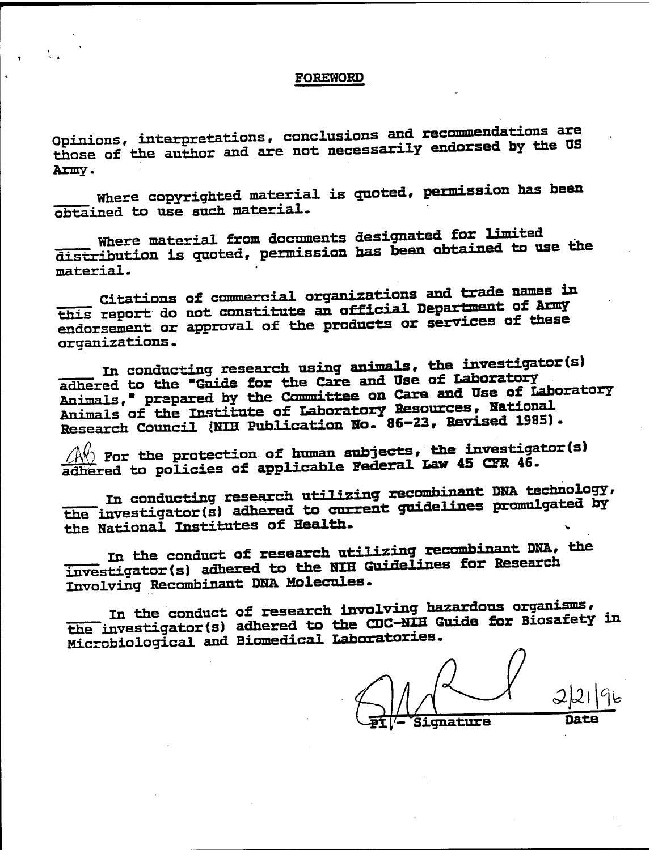## FOREWORD

Opinions, interpretations, conclusions and recommendations are those of the author and are not necessarily endorsed by the US Army.

Where copyrighted material is quoted, permission has been obtained to use such material-

Where material from documents designated for limited distribution is quoted, permission has been obtained to use the material-

Citations of commercial organizations and trade names in this report do not constitute an official Department of Army endorsement or approval of the products or services of these organizations.

In conducting research using animals, the investigator(s) adhered to the "Guide for the Care and Use of Laboratory Animals," prepared by the Committee on Care and Use of Laboratory Animals of the Institute of Laboratory Resources, National Research Council (NIH Publication No. 86-23, Revised 1985).

 $\sqrt{2\pi}$  For the protection of human subjects, the investigator(s) adhered to policies of applicable Federal Law 45 CFR 46.

in conducting research utilizing recombinant DNA technology, the investigator(s) adhered to current guidelines promulgated by the National institutes of Health.

in the conduct of research utilizing recombinant DNA, the investigator(s) adhered to the NIH Guidelines for Research Involving Recombinant DNA Molecules.

in the conduct of research involving hazardous organisms, the investigator(s) adhered to the CDC-NIH Guide for Biosafety in Microbiological and Biomedical Laboratories.

Signature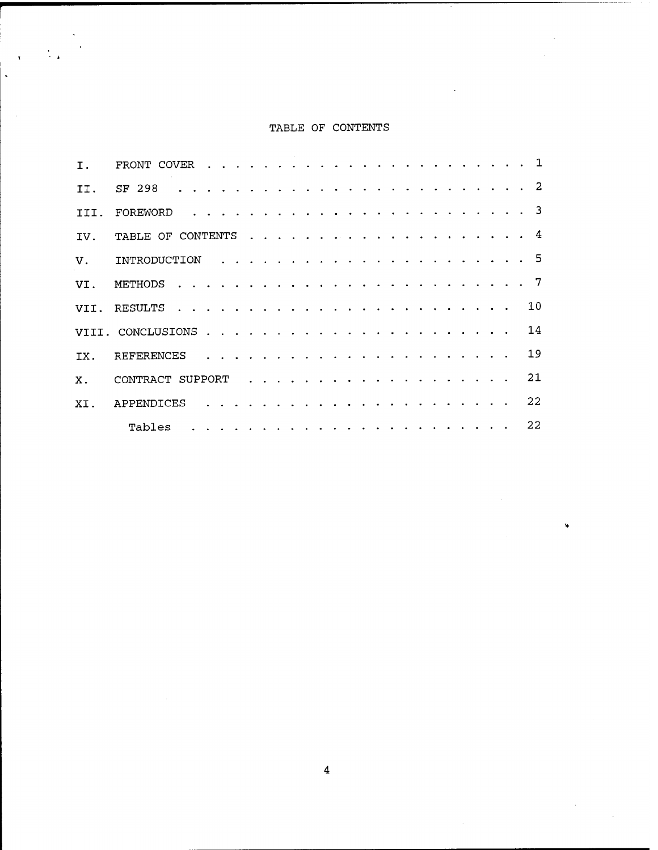## TABLE OF CONTENTS

 $\frac{1}{2}$  .

 $\bar{\mathbf{y}}$  $\overline{a}$ 

 $\sim$ 

| Ι.          | FRONT COVER      |                                                                                 |  |                                                                                                                                                                                                                                  |  |  |  |  |  |  |  |  |  |  | $\overline{1}$           |
|-------------|------------------|---------------------------------------------------------------------------------|--|----------------------------------------------------------------------------------------------------------------------------------------------------------------------------------------------------------------------------------|--|--|--|--|--|--|--|--|--|--|--------------------------|
| TT.         | SF 298           |                                                                                 |  |                                                                                                                                                                                                                                  |  |  |  |  |  |  |  |  |  |  |                          |
| TII.        | FOREWORD         |                                                                                 |  | $\frac{1}{2}$ , and the state of the state of the state of the state of the state of the state of the state of the state of the state of the state of the state of the state of the state of the state of the state of the state |  |  |  |  |  |  |  |  |  |  | $\overline{\phantom{a}}$ |
| IV.         |                  |                                                                                 |  |                                                                                                                                                                                                                                  |  |  |  |  |  |  |  |  |  |  | $\overline{a}$           |
| $V_{\rm A}$ |                  |                                                                                 |  |                                                                                                                                                                                                                                  |  |  |  |  |  |  |  |  |  |  |                          |
| VI.         |                  |                                                                                 |  |                                                                                                                                                                                                                                  |  |  |  |  |  |  |  |  |  |  |                          |
|             |                  |                                                                                 |  |                                                                                                                                                                                                                                  |  |  |  |  |  |  |  |  |  |  | 10                       |
|             |                  |                                                                                 |  |                                                                                                                                                                                                                                  |  |  |  |  |  |  |  |  |  |  | 14                       |
| IX.         | REFERENCES       |                                                                                 |  | .                                                                                                                                                                                                                                |  |  |  |  |  |  |  |  |  |  | 19                       |
| $X$ .       | CONTRACT SUPPORT |                                                                                 |  |                                                                                                                                                                                                                                  |  |  |  |  |  |  |  |  |  |  | 21                       |
| XT.         | APPENDICES       |                                                                                 |  |                                                                                                                                                                                                                                  |  |  |  |  |  |  |  |  |  |  | 22                       |
|             | Tables           | المتعاط والمتعاط والمتعاط والمتعاط والمتعاط والمتعاط والمتعاط والمتعاط والمتعاط |  |                                                                                                                                                                                                                                  |  |  |  |  |  |  |  |  |  |  | 22                       |

Ñ,

 $\bar{z}$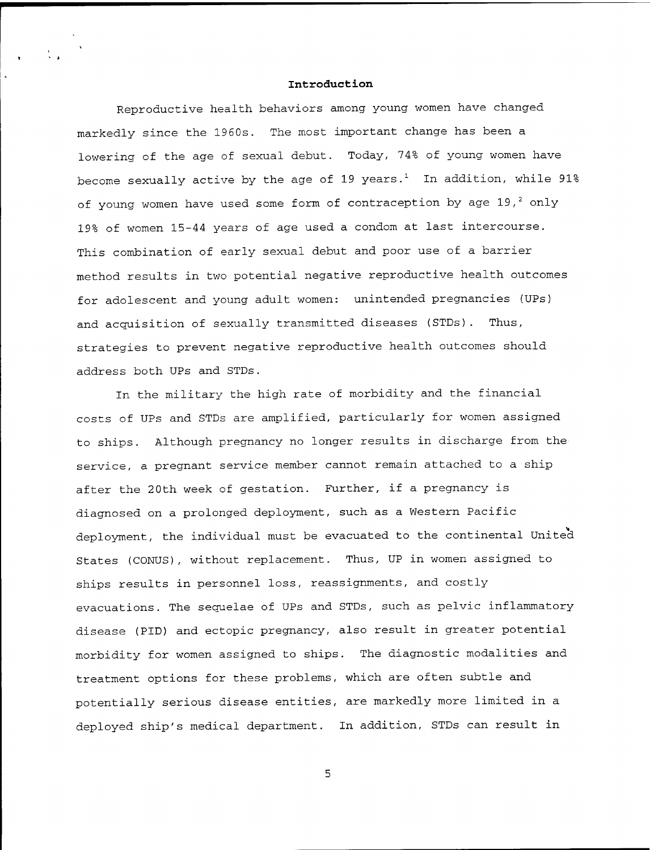#### **Introduction**

Reproductive health behaviors among young women have changed markedly since the 1960s. The most important change has been a lowering of the age of sexual debut. Today, 74% of young women have become sexually active by the age of 19 years. $^1$  In addition, while 91% of young women have used some form of contraception by age 19, $^2$  only 19% of women 15-44 years of age used a condom at last intercourse. This combination of early sexual debut and poor use of a barrier method results in two potential negative reproductive health outcomes for adolescent and young adult women: unintended pregnancies (UPs) and acquisition of sexually transmitted diseases (STDs). Thus, strategies to prevent negative reproductive health outcomes should address both UPs and STDs.

In the military the high rate of morbidity and the financial costs of UPs and STDs are amplified, particularly for women assigned to ships. Although pregnancy no longer results in discharge from the service, a pregnant service member cannot remain attached to a ship after the 20th week of gestation. Further, if a pregnancy is diagnosed on a prolonged deployment, such as a Western Pacific deployment, the individual must be evacuated to the continental United States (CONUS), without replacement. Thus, UP in women assigned to ships results in personnel loss, reassignments, and costly evacuations. The sequelae of UPs and STDs, such as pelvic inflammatory disease (PID) and ectopic pregnancy, also result in greater potential morbidity for women assigned to ships. The diagnostic modalities and treatment options for these problems, which are often subtle and potentially serious disease entities, are markedly more limited in a deployed ship's medical department. In addition, STDs can result in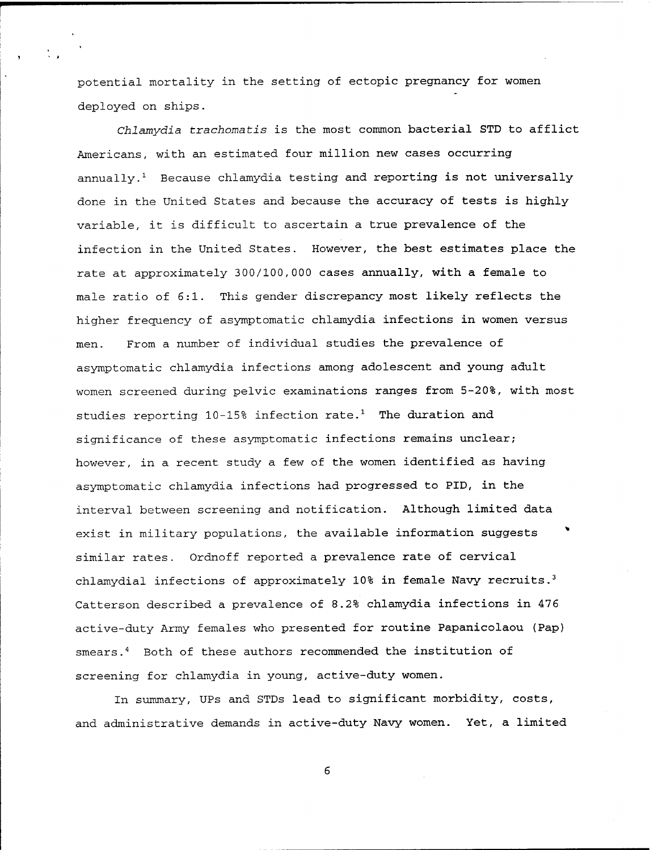potential mortality in the setting of ectopic pregnancy for women deployed on ships.

*Chlamydia trachomatis* is the most common bacterial STD to afflict Americans, with an estimated four million new cases occurring annually. $^1$  Because chlamydia testing and reporting is not universally done in the United States and because the accuracy of tests is highly variable, it is difficult to ascertain a true prevalence of the infection in the United States. However, the best estimates place the rate at approximately 300/100,000 cases annually, with a female to male ratio of 6:1. This gender discrepancy most likely reflects the higher frequency of asymptomatic chlamydia infections in women versus men. From a number of individual studies the prevalence of asymptomatic chlamydia infections among adolescent and young adult women screened during pelvic examinations ranges from 5-20%, with most studies reporting 10-15% infection rate.<sup>1</sup> The duration and significance of these asymptomatic infections remains unclear; however, in a recent study a few of the women identified as having asymptomatic chlamydia infections had progressed to PID, in the interval between screening and notification. Although limited data exist in military populations, the available information suggests \* similar rates. Ordnoff reported a prevalence rate of cervical chlamydial infections of approximately 10% in female Navy recruits. $3$ Catterson described a prevalence of 8.2% chlamydia infections in 476 active-duty Army females who presented for routine Papanicolaou (Pap) smears. 4 Both of these authors recommended the institution of screening for chlamydia in young, active-duty women.

In summary, UPs and STDs lead to significant morbidity, costs, and administrative demands in active-duty Navy women. Yet, a limited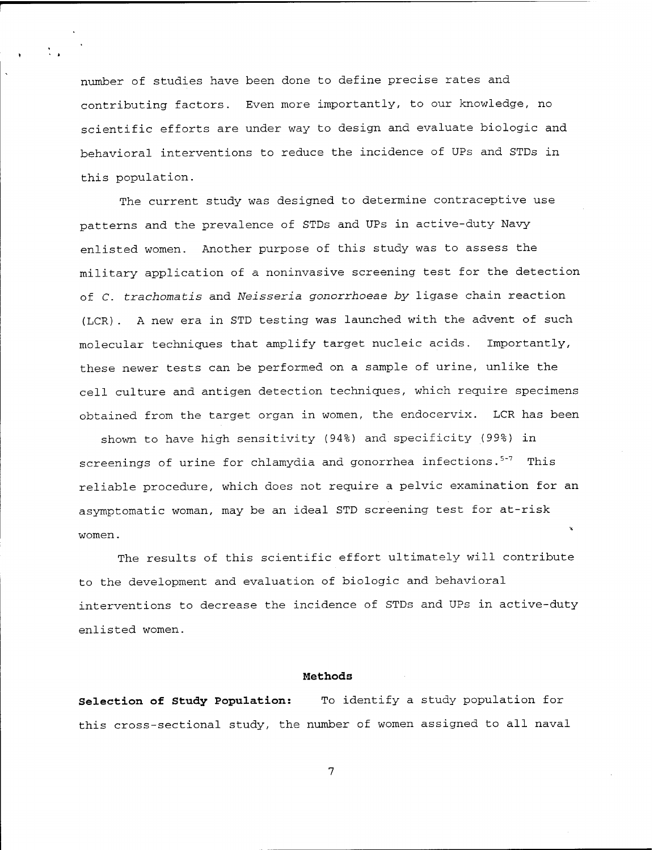number of studies have been done to define precise rates and contributing factors. Even more importantly, to our knowledge, no scientific efforts are under way to design and evaluate biologic and behavioral interventions to reduce the incidence of UPs and STDs in this population.

The current study was designed to determine contraceptive use patterns and the prevalence of STDs and UPs in active-duty Navy enlisted women. Another purpose of this study was to assess the military application of a noninvasive screening test for the detection of *C. trachomatis* and *Neisseria gonorrhoeae by* ligase chain reaction (LCR). A new era in STD testing was launched with the advent of such molecular techniques that amplify target nucleic acids. Importantly, these newer tests can be performed on a sample of urine, unlike the cell culture and antigen detection techniques, which require specimens obtained from the target organ in women, the endocervix. LCR has been

shown to have high sensitivity (94%) and specificity (99%) in screenings of urine for chlamydia and gonorrhea infections.<sup>5-7</sup> This reliable procedure, which does not require a pelvic examination for an asymptomatic woman, may be an ideal STD screening test for at-risk women.

The results of this scientific effort ultimately will contribute to the development and evaluation of biologic and behavioral interventions to decrease the incidence of STDs and UPs in active-duty enlisted women.

### **Methods**

**Selection of Study Population:** To identify a study population for this cross-sectional study, the number of women assigned to all naval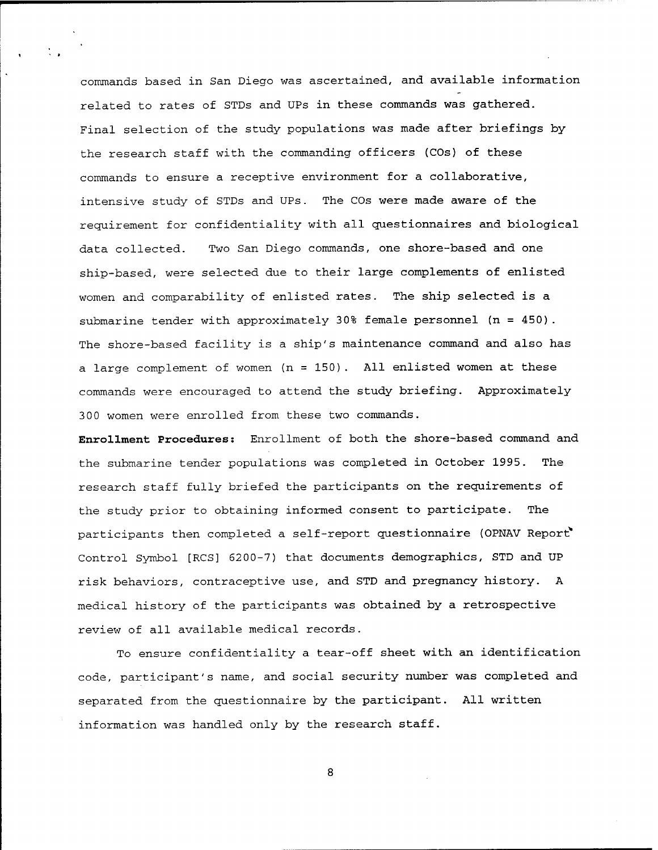commands based in San Diego was ascertained, and available information related to rates of STDs and UPs in these commands was gathered. Final selection of the study populations was made after briefings by the research staff with the commanding officers (COs) of these commands to ensure a receptive environment for a collaborative, intensive study of STDs and UPs. The COs were made aware of the requirement for confidentiality with all questionnaires and biological data collected. Two San Diego commands, one shore-based and one ship-based, were selected due to their large complements of enlisted women and comparability of enlisted rates. The ship selected is a submarine tender with approximately 30% female personnel (n = 450). The shore-based facility is a ship's maintenance command and also has a large complement of women (n = 150). All enlisted women at these commands were encouraged to attend the study briefing. Approximately 300 women were enrolled from these two commands.

**Enrollment Procedures:** Enrollment of both the shore-based command and the submarine tender populations was completed in October 1995. The research staff fully briefed the participants on the requirements of the study prior to obtaining informed consent to participate. The participants then completed a self-report questionnaire (OPNAV Report" Control Symbol [RCS] 6200-7) that documents demographics, STD and UP risk behaviors, contraceptive use, and STD and pregnancy history. A medical history of the participants was obtained by a retrospective review of all available medical records.

To ensure confidentiality a tear-off sheet with an identification code, participant's name, and social security number was completed and separated from the questionnaire by the participant. All written information was handled only by the research staff.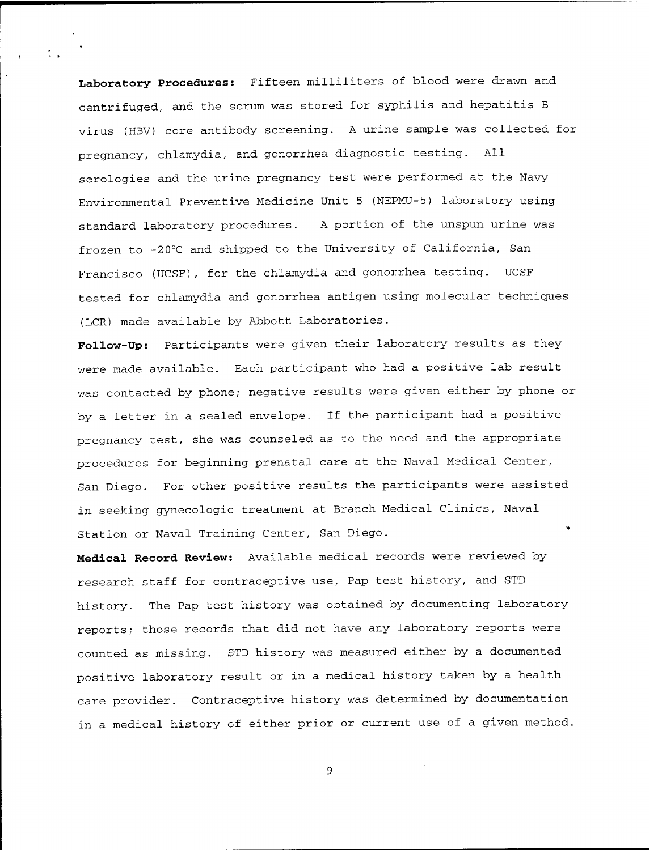**Laboratory Procedures:** Fifteen milliliters of blood were drawn and centrifuged, and the serum was stored for syphilis and hepatitis B virus (HBV) core antibody screening. A urine sample was collected for pregnancy, chlamydia, and gonorrhea diagnostic testing. All serologies and the urine pregnancy test were performed at the Navy Environmental Preventive Medicine Unit <sup>5</sup> (NEPMU-5) laboratory using standard laboratory procedures. A portion of the unspun urine was frozen to -20°C and shipped to the University of California, San Francisco (UCSF), for the chlamydia and gonorrhea testing. UCSF tested for chlamydia and gonorrhea antigen using molecular techniques (LCR) made available by Abbott Laboratories.

**Follow-Up:** Participants were given their laboratory results as they were made available. Each participant who had a positive lab result was contacted by phone; negative results were given either by phone or by a letter in a sealed envelope. If the participant had a positive pregnancy test, she was counseled as to the need and the appropriate procedures for beginning prenatal care at the Naval Medical Center, San Diego. For other positive results the participants were assisted in seeking gynecologic treatment at Branch Medical Clinics, Naval Station or Naval Training Center, San Diego.

**Medical Record Review:** Available medical records were reviewed by research staff for contraceptive use, Pap test history, and STD history. The Pap test history was obtained by documenting laboratory reports; those records that did not have any laboratory reports were counted as missing. STD history was measured either by a documented positive laboratory result or in a medical history taken by a health care provider. Contraceptive history was determined by documentation in a medical history of either prior or current use of a given method.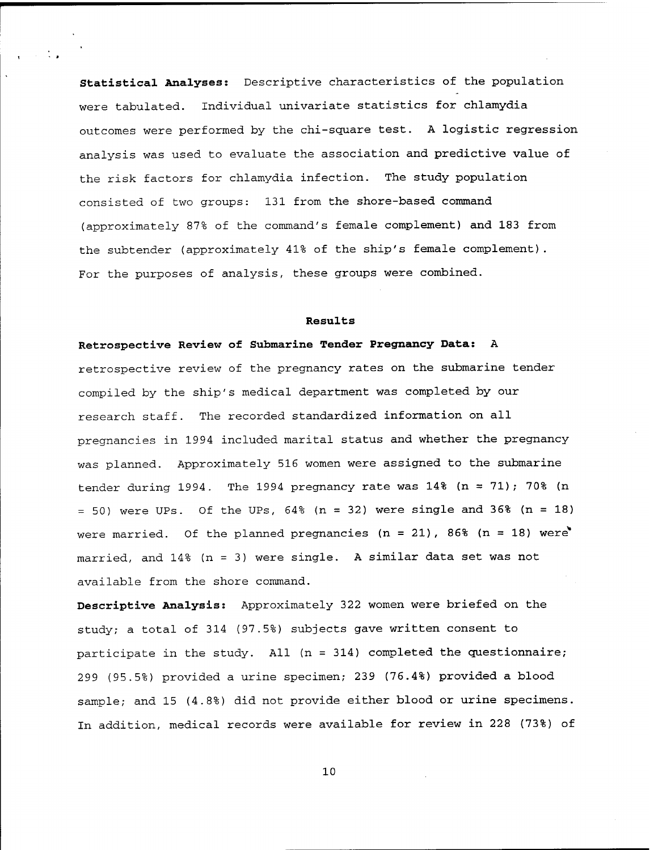**Statistical Analyses:** Descriptive characteristics of the population were tabulated. Individual univariate statistics for chlamydia outcomes were performed by the chi-square test. A logistic regression analysis was used to evaluate the association and predictive value of the risk factors for chlamydia infection. The study population consisted of two groups: 131 from the shore-based command (approximately 87% of the command's female complement) and 183 from the subtender (approximately 41% of the ship's female complement). For the purposes of analysis, these groups were combined.

### **Results**

**Retrospective Review of Submarine Tender Pregnancy Data:** A retrospective review of the pregnancy rates on the submarine tender compiled by the ship's medical department was completed by our research staff. The recorded standardized information on all pregnancies in 1994 included marital status and whether the pregnancy was planned. Approximately 516 women were assigned to the submarine tender during 1994. The 1994 pregnancy rate was  $14\%$  (n = 71); 70% (n  $= 50$ ) were UPs. Of the UPs,  $64\%$  (n  $= 32$ ) were single and 36% (n  $= 18$ ) were married. Of the planned pregnancies (n = 21), 86% (n = 18) were married, and 14% (n = 3) were single. A similar data set was not available from the shore command.

**Descriptive Analysis:** Approximately 322 women were briefed on the study; a total of 314 (97.5%) subjects gave written consent to participate in the study. All (n = 314) completed the questionnaire; 299 (95.5%) provided a urine specimen; 239 (76.4%) provided a blood sample; and 15 (4.8%) did not provide either blood or urine specimens. In addition, medical records were available for review in 228 (73%) of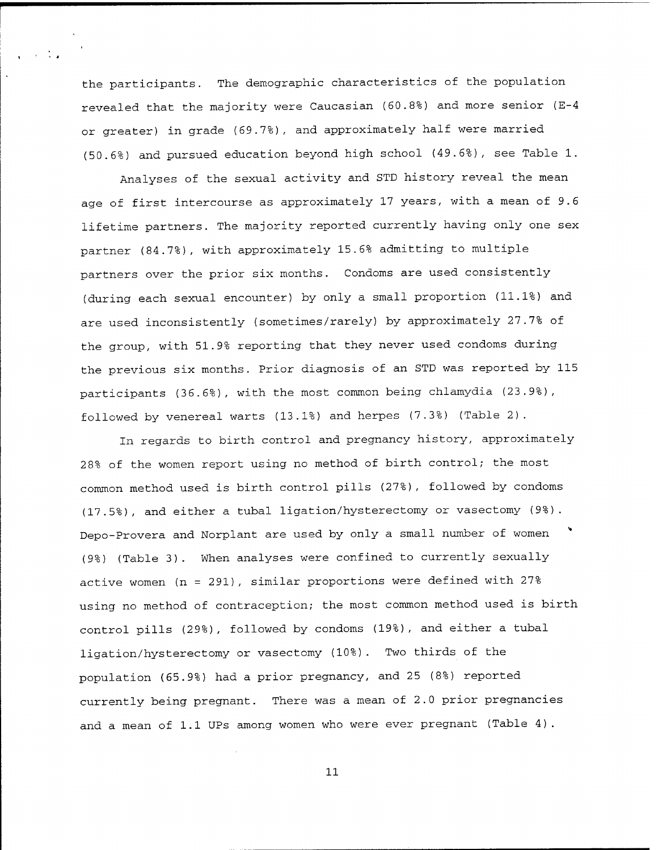the participants. The demographic characteristics of the population revealed that the majority were Caucasian (60.8%) and more senior (E-4 or greater) in grade (69.7%), and approximately half were married (50.6%) and pursued education beyond high school (49.6%), see Table 1.

Analyses of the sexual activity and STD history reveal the mean age of first intercourse as approximately 17 years, with a mean of 9.6 lifetime partners. The majority reported currently having only one sex partner (84.7%), with approximately 15.6% admitting to multiple partners over the prior six months. Condoms are used consistently (during each sexual encounter) by only a small proportion (11.1%) and are used inconsistently (sometimes/rarely) by approximately 27.7% of the group, with 51.9% reporting that they never used condoms during the previous six months. Prior diagnosis of an STD was reported by 115 participants (36.6%), with the most common being chlamydia (23.9%), followed by venereal warts (13.1%) and herpes (7.3%) (Table 2).

In regards to birth control and pregnancy history, approximately <sup>2</sup> 8% of the women report using no method of birth control; the most common method used is birth control pills (27%), followed by condoms (17.5%), and either a tubal ligation/hysterectomy or vasectomy (9%). Depo-Provera and Norplant are used by only a small number of women (9%) (Table 3). When analyses were confined to currently sexually active women (n = 291), similar proportions were defined with 27% using no method of contraception; the most common method used is birth control pills (29%), followed by condoms (19%), and either a tubal ligation/hysterectomy or vasectomy (10%) . Two thirds of the population (65.9%) had a prior pregnancy, and 25 (8%) reported currently being pregnant. There was a mean of 2.0 prior pregnancies and a mean of 1.1 UPs among women who were ever pregnant (Table 4).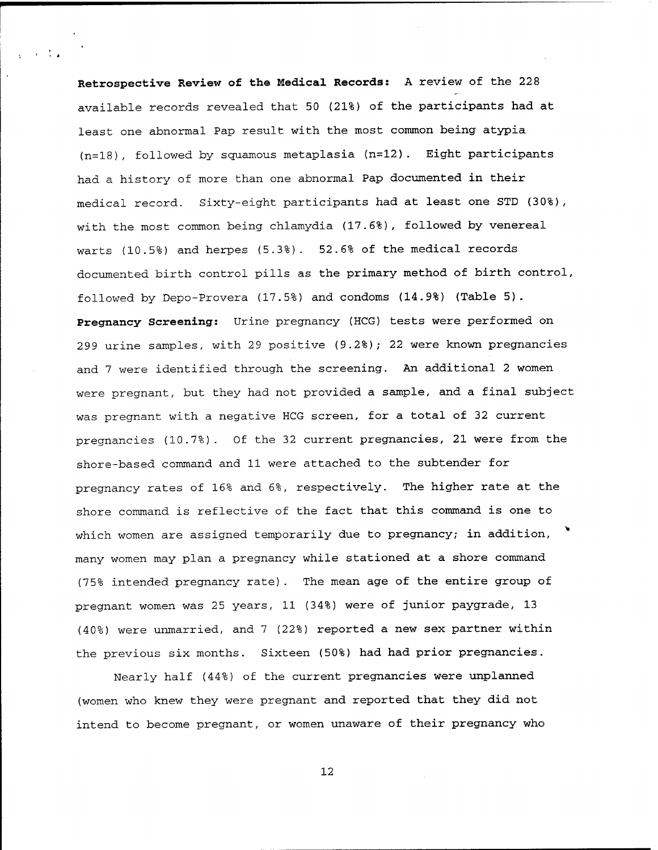**Retrospective Review of the Medical Records:** A review of the 228 available records revealed that 50 (21%) of the participants had at least one abnormal Pap result with the most common being atypia (n=18), followed by squamous metaplasia (n=12). Eight participants had a history of more than one abnormal Pap documented in their medical record. Sixty-eight participants had at least one STD (30%), with the most common being chlamydia (17.6%), followed by venereal warts (10.5%) and herpes (5.3%). 52.6% of the medical records documented birth control pills as the primary method of birth control, followed by Depo-Provera (17.5%) and condoms (14.9%) (Table 5). **Pregnancy Screening:** Urine pregnancy (HCG) tests were performed on 299 urine samples, with 29 positive (9.2%); 22 were known pregnancies and <sup>7</sup> were identified through the screening. An additional 2 women were pregnant, but they had not provided a sample, and a final subject was pregnant with a negative HCG screen, for a total of 32 current pregnancies (10.7%). Of the 32 current pregnancies, 21 were from the shore-based command and 11 were attached to the subtender for pregnancy rates of 16% and 6%, respectively. The higher rate at the shore command is reflective of the fact that this command is one to which women are assigned temporarily due to pregnancy; in addition, many women may plan a pregnancy while stationed at a shore command (75% intended pregnancy rate). The mean age of the entire group of pregnant women was 25 years, 11 (34%) were of junior paygrade, 13 (40%) were unmarried, and <sup>7</sup> (22%) reported a new sex partner within the previous six months. Sixteen (50%) had had prior pregnancies.

Nearly half (44%) of the current pregnancies were unplanned (women who knew they were pregnant and reported that they did not intend to become pregnant, or women unaware of their pregnancy who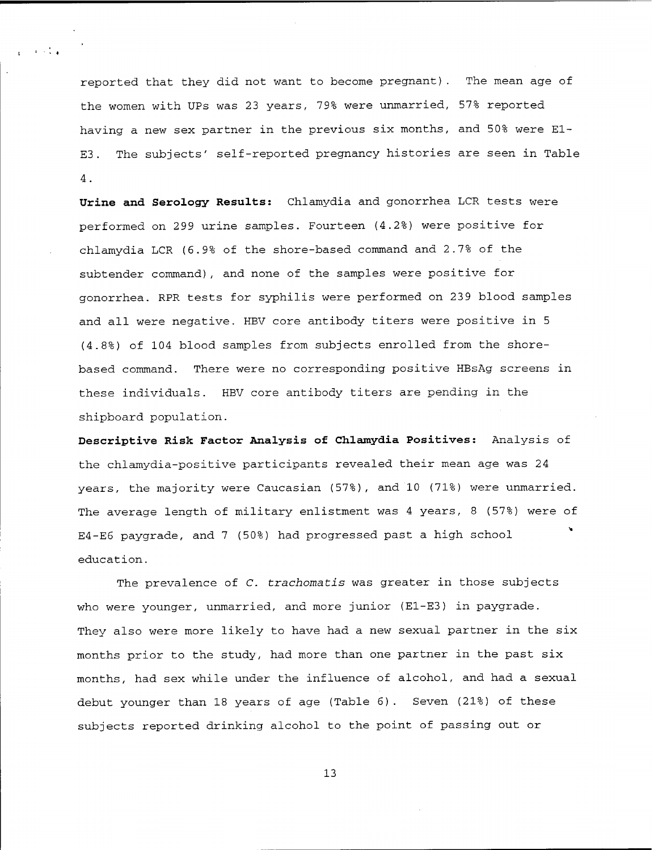reported that they did not want to become pregnant). The mean age of the women with UPs was 23 years, 79% were unmarried, 57% reported having a new sex partner in the previous six months, and 50% were EI-ES. The subjects' self-reported pregnancy histories are seen in Table 4.

 $\sim 10^{-10}$  km s  $^{-1}$ 

**Urine and Serology Results:** Chlamydia and gonorrhea LCR tests were performed on 299 urine samples. Fourteen (4.2%) were positive for chlamydia LCR (6.9% of the shore-based command and 2.7% of the subtender command), and none of the samples were positive for gonorrhea. RPR tests for syphilis were performed on 239 blood samples and all were negative. HBV core antibody titers were positive in <sup>5</sup> (4.8%) of 104 blood samples from subjects enrolled from the shorebased command. There were no corresponding positive HBsAg screens in these individuals. HBV core antibody titers are pending in the shipboard population.

**Descriptive Risk Factor Analysis of Chlamydia Positives:** Analysis of the chlamydia-positive participants revealed their mean age was 24 years, the majority were Caucasian (57%), and 10 (71%) were unmarried. The average length of military enlistment was 4 years, <sup>8</sup> (57%) were of E4-E6 paygrade, and 7 (50%) had progressed past a high school education.

The prevalence of *C. trachomatis* was greater in those subjects who were younger, unmarried, and more junior (E1-E3) in paygrade. They also were more likely to have had a new sexual partner in the six months prior to the study, had more than one partner in the past six months, had sex while under the influence of alcohol, and had a sexual debut younger than 18 years of age (Table 6). Seven (21%) of these subjects reported drinking alcohol to the point of passing out or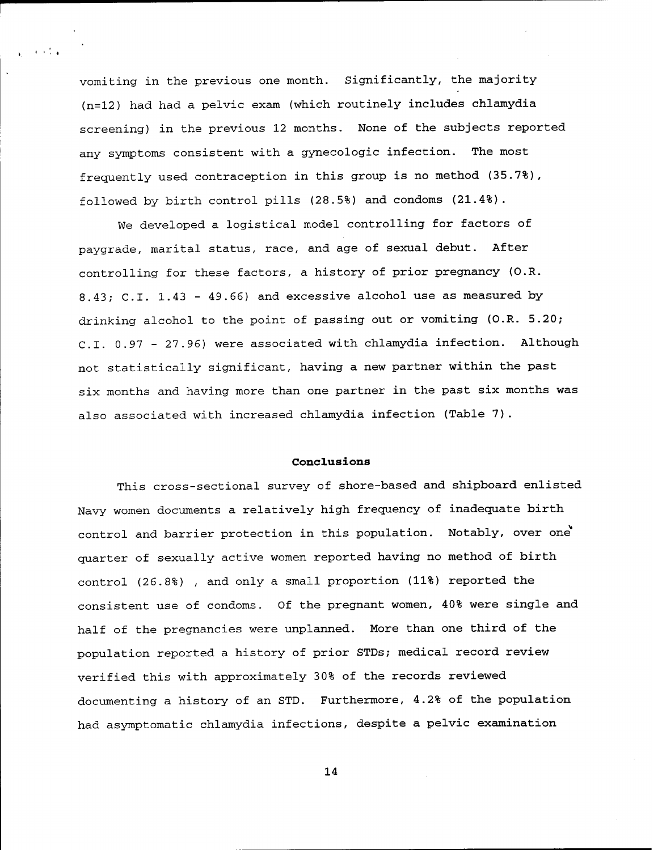vomiting in the previous one month. Significantly, the majority (n=12) had had a pelvic exam (which routinely includes chlamydia screening) in the previous 12 months. None of the subjects reported any symptoms consistent with a gynecologic infection. The most frequently used contraception in this group is no method (35.7%), followed by birth control pills (28.5%) and condoms (21.4%).

 $\sim 100$  km  $^{-1}$ 

We developed a logistical model controlling for factors of paygrade, marital status, race, and age of sexual debut. After controlling for these factors, a history of prior pregnancy (O.R. 8.43; C.I. 1.43 - 49.66) and excessive alcohol use as measured by drinking alcohol to the point of passing out or vomiting (O.R. 5.20; C.I. 0.97 - 27.96) were associated with chlamydia infection. Although not statistically significant, having a new partner within the past six months and having more than one partner in the past six months was also associated with increased chlamydia infection (Table 7).

#### **Conclusions**

This cross-sectional survey of shore-based and shipboard enlisted Navy women documents a relatively high frequency of inadequate birth control and barrier protection in this population. Notably, over one quarter of sexually active women reported having no method of birth control (26.8%) , and only a small proportion (11%) reported the consistent use of condoms. Of the pregnant women, 40% were single and half of the pregnancies were unplanned. More than one third of the population reported a history of prior STDs; medical record review verified this with approximately 30% of the records reviewed documenting a history of an STD. Furthermore, 4.2% of the population had asymptomatic chlamydia infections, despite a pelvic examination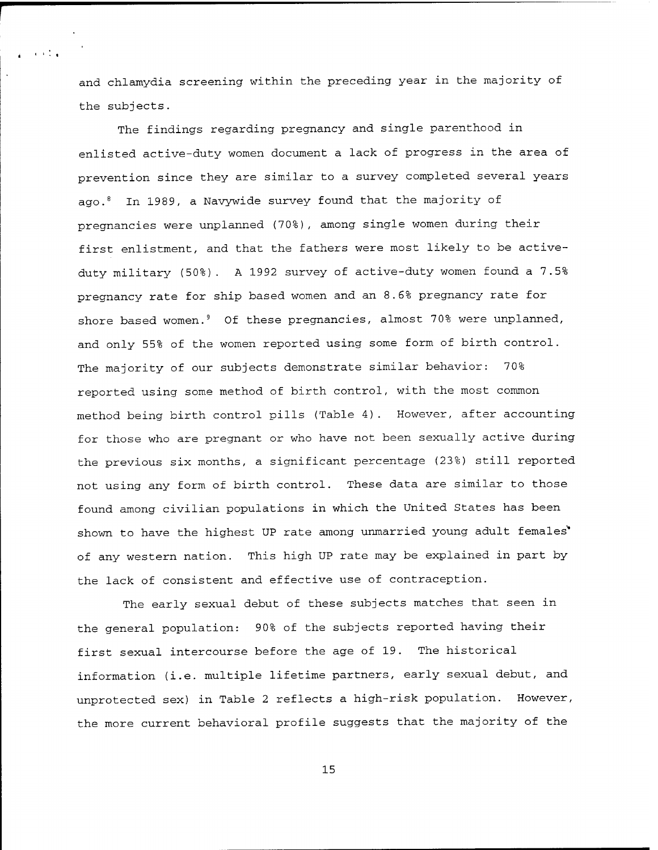and chlamydia screening within the preceding year in the majority of the subjects.

 $1.111$ 

The findings regarding pregnancy and single parenthood in enlisted active-duty women document a lack of progress in the area of prevention since they are similar to a survey completed several years ago. 8 In 1989, a Navywide survey found that the majority of pregnancies were unplanned (70%), among single women during their first enlistment, and that the fathers were most likely to be activeduty military (50%). A 1992 survey of active-duty women found a 7.5% pregnancy rate for ship based women and an 8.6% pregnancy rate for shore based women. 9 Of these pregnancies, almost 70% were unplanned, and only 55% of the women reported using some form of birth control. The majority of our subjects demonstrate similar behavior: 70% reported using some method of birth control, with the most common method being birth control pills (Table 4). However, after accounting for those who are pregnant or who have not been sexually active during the previous six months, a significant percentage (23%) still reported not using any form of birth control. These data are similar to those found among civilian populations in which the United States has been shown to have the highest UP rate among unmarried young adult females' of any western nation. This high UP rate may be explained in part by the lack of consistent and effective use of contraception.

The early sexual debut of these subjects matches that seen in the general population: 90% of the subjects reported having their first sexual intercourse before the age of 19. The historical information (i.e. multiple lifetime partners, early sexual debut, and unprotected sex) in Table 2 reflects a high-risk population. However, the more current behavioral profile suggests that the majority of the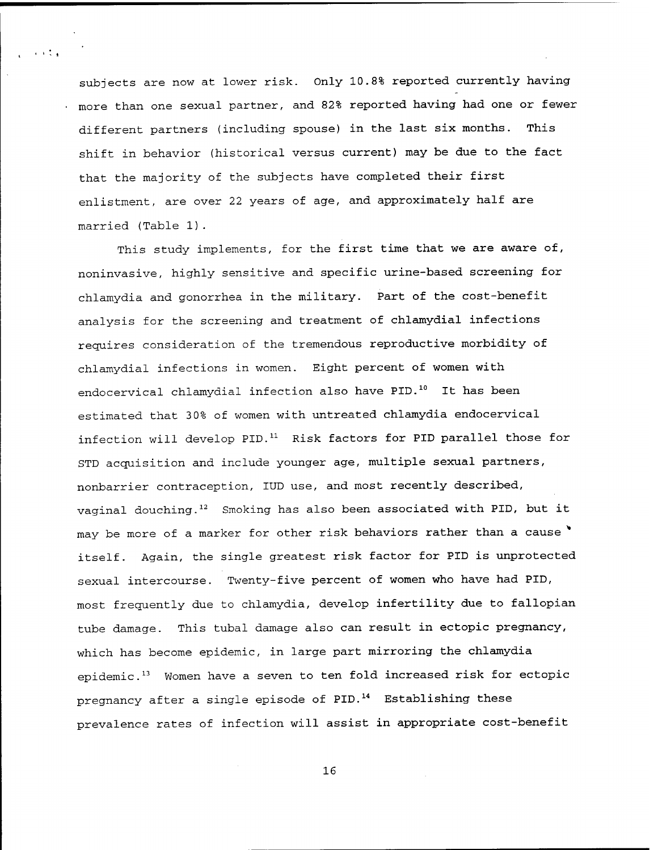subjects are now at lower risk. Only 10.8% reported currently having more than one sexual partner, and 82% reported having had one or fewer different partners (including spouse) in the last six months. This shift in behavior (historical versus current) may be due to the fact that the majority of the subjects have completed their first enlistment, are over 22 years of age, and approximately half are married (Table 1).

e viti

This study implements, for the first time that we are aware of, noninvasive, highly sensitive and specific urine-based screening for chlamydia and gonorrhea in the military. Part of the cost-benefit analysis for the screening and treatment of chlamydial infections requires consideration of the tremendous reproductive morbidity of chlamydial infections in women. Eight percent of women with endocervical chlamydial infection also have PID.<sup>10</sup> It has been estimated that 30% of women with untreated chlamydia endocervical infection will develop PID.<sup>11</sup> Risk factors for PID parallel those for STD acquisition and include younger age, multiple sexual partners, nonbarrier contraception, IUD use, and most recently described, vaginal douching.<sup>12</sup> Smoking has also been associated with PID, but it may be more of a marker for other risk behaviors rather than a cause itself. Again, the single greatest risk factor for PID is unprotected sexual intercourse. Twenty-five percent of women who have had PID, most frequently due to chlamydia, develop infertility due to fallopian tube damage. This tubal damage also can result in ectopic pregnancy, which has become epidemic, in large part mirroring the chlamydia epidemic.<sup>13</sup> Women have <sup>a</sup> seven to ten fold increased risk for ectopic pregnancy after a single episode of PID.<sup>14</sup> Establishing these prevalence rates of infection will assist in appropriate cost-benefit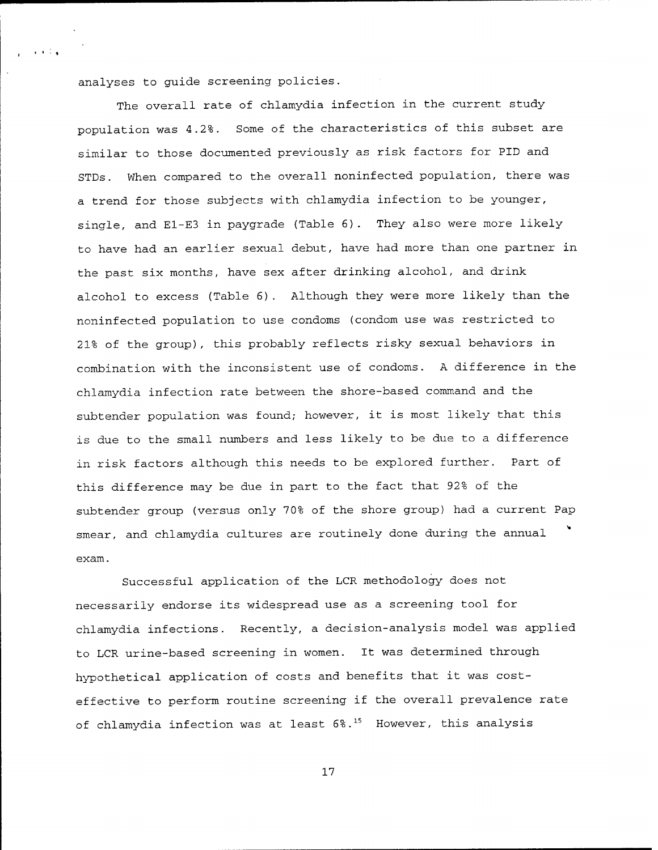analyses to guide screening policies.

 $\alpha$  and  $\alpha$ 

The overall rate of chlamydia infection in the current study population was 4.2%. Some of the characteristics of this subset are similar to those documented previously as risk factors for PID and STDs. When compared to the overall noninfected population, there was a trend for those subjects with chlamydia infection to be younger, single, and E1-E3 in paygrade (Table 6). They also were more likely to have had an earlier sexual debut, have had more than one partner in the past six months, have sex after drinking alcohol, and drink alcohol to excess (Table 6). Although they were more likely than the noninfected population to use condoms (condom use was restricted to 21% of the group), this probably reflects risky sexual behaviors in combination with the inconsistent use of condoms. A difference in the chlamydia infection rate between the shore-based command and the subtender population was found; however, it is most likely that this is due to the small numbers and less likely to be due to a difference in risk factors although this needs to be explored further. Part of this difference may be due in part to the fact that 92% of the subtender group (versus only 70% of the shore group) had a current Pap smear, and chlamydia cultures are routinely done during the annual exam.

Successful application of the LCR methodology does not necessarily endorse its widespread use as a screening tool for chlamydia infections. Recently, a decision-analysis model was applied to LCR urine-based screening in women. It was determined through hypothetical application of costs and benefits that it was costeffective to perform routine screening if the overall prevalence rate of chlamydia infection was at least 6%.<sup>15</sup> However, this analysis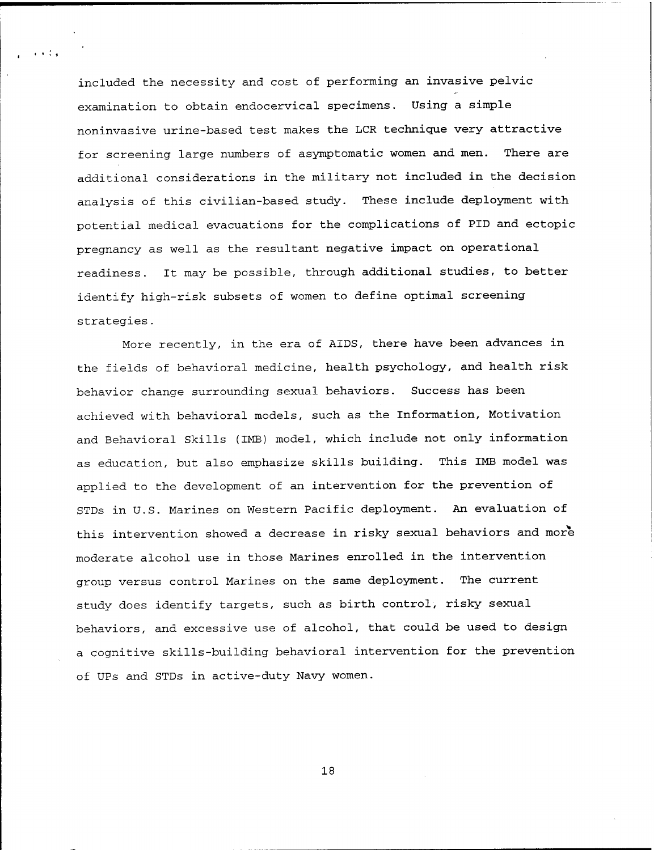included the necessity and cost of performing an invasive pelvic examination to obtain endocervical specimens. Using a simple noninvasive urine-based test makes the LCR technique very attractive for screening large numbers of asymptomatic women and men. There are additional considerations in the military not included in the decision analysis of this civilian-based study. These include deployment with potential medical evacuations for the complications of PID and ectopic pregnancy as well as the resultant negative impact on operational readiness. It may be possible, through additional studies, to better identify high-risk subsets of women to define optimal screening strategies.

e vita

More recently, in the era of AIDS, there have been advances in the fields of behavioral medicine, health psychology, and health risk behavior change surrounding sexual behaviors. Success has been achieved with behavioral models, such as the Information, Motivation and Behavioral Skills (1MB) model, which include not only information as education, but also emphasize skills building. This 1MB model was applied to the development of an intervention for the prevention of STDs in U.S. Marines on Western Pacific deployment. An evaluation of this intervention showed a decrease in risky sexual behaviors and more moderate alcohol use in those Marines enrolled in the intervention group versus control Marines on the same deployment. The current study does identify targets, such as birth control, risky sexual behaviors, and excessive use of alcohol, that could be used to design a cognitive skills-building behavioral intervention for the prevention of UPs and STDs in active-duty Navy women.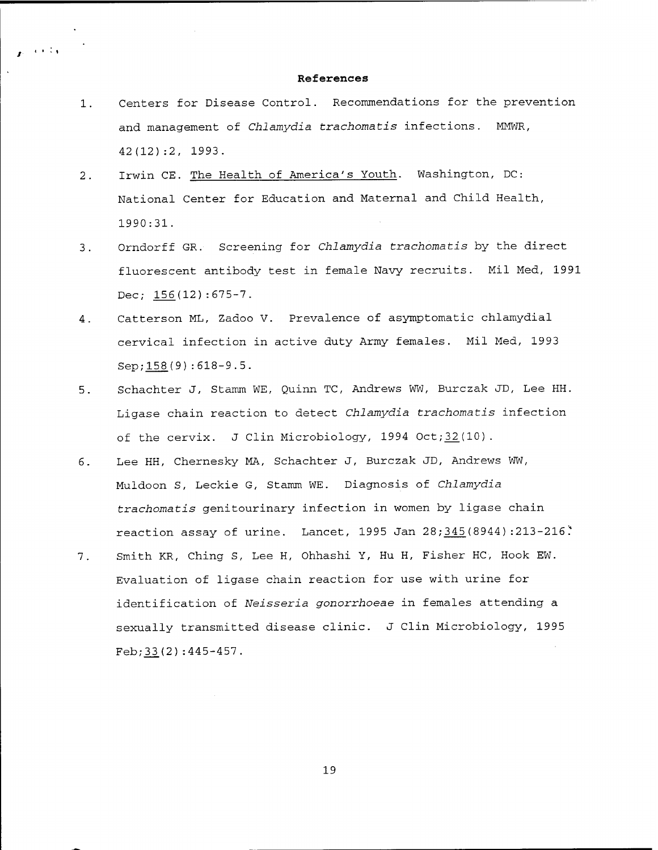#### **References**

 $\sim 10^{11}$  km  $^{-1}$ 

- 1. Centers for Disease Control. Recommendations for the prevention and management of *Chlamydia trachomatis* infections. MMWR, 42(12):2, 1993.
- 2. Irwin CE. The Health of America's Youth. Washington, DC: National Center for Education and Maternal and Child Health, 1990:31.
- 3. Orndorff GR. Screening for *Chlamydia trachomatis* by the direct fluorescent antibody test in female Navy recruits. Mil Med, 1991 Dec; 156(12):675-7.
- 4. Catterson ML, Zadoo V. Prevalence of asymptomatic chlamydial cervical infection in active duty Army females. Mil Med, 1993 Sep;158(9):618-9.5.
- 5. Schachter J, Stamm WE, Quinn TC, Andrews WW, Burczak JD, Lee HH. Ligase chain reaction to detect *Chlamydia trachomatis* infection of the cervix. J Clin Microbiology,  $1994$  Oct;  $32(10)$ .
- 6. Lee HH, Chernesky MA, Schachter J, Burczak JD, Andrews WW, Muldoon S, Leckie G, Stamm WE. Diagnosis of *Chlamydia trachomatis* genitourinary infection in women by ligase chain reaction assay of urine. Lancet, 1995 Jan 28; 345(8944): 213-216:
- 7. Smith KR, Ching S, Lee H, Ohhashi Y, Hu H, Fisher HC, Hook EW. Evaluation of ligase chain reaction for use with urine for identification of *Neisseria gonorrhoeae* in females attending <sup>a</sup> sexually transmitted disease clinic. J Clin Microbiology, 1995 Feb;33(2):445-457.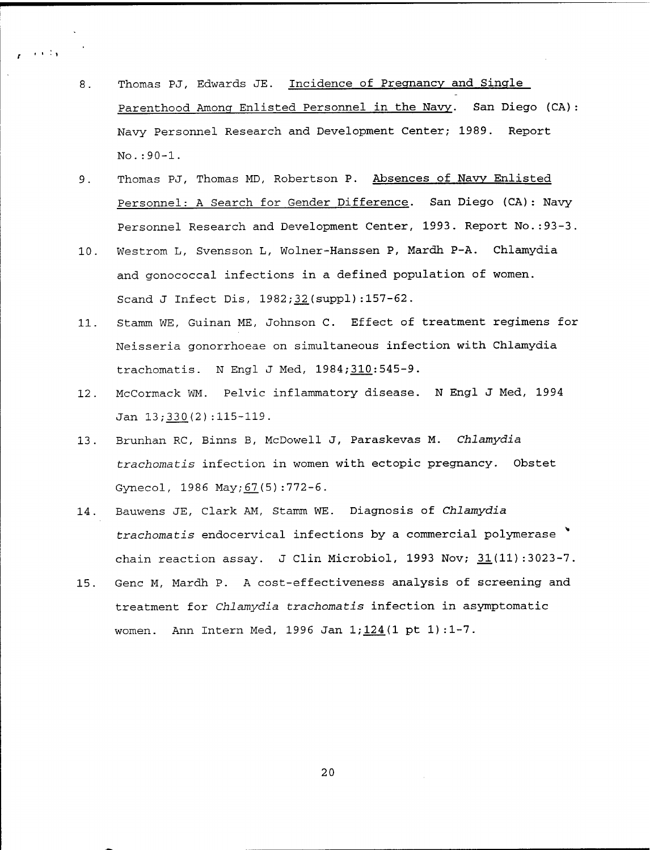8. Thomas PJ, Edwards JE. Incidence of Pregnancy and Single Parenthood Among Enlisted Personnel in the Navy. San Diego (CA): Navy Personnel Research and Development Center; 1989. Report No.:90-l.

 $\sim 1000$  km  $^{-1}$ 

- 9. Thomas PJ, Thomas MD, Robertson P. Absences of Navy Enlisted Personnel: A Search for Gender Difference. San Diego (CA): Navy Personnel Research and Development Center, 1993. Report No.:93-3.
- 10. Westrom L, Svensson L, Wolner-Hanssen P, Mardh P-A. Chlamydia and gonococcal infections in a defined population of women. Scand J Infect Dis, 1982;32(suppl):157-62.
- 11. Stamm WE, Guinan ME, Johnson C. Effect of treatment regimens for Neisseria gonorrhoeae on simultaneous infection with Chlamydia trachomatis. N Engl J Med, 1984; 310: 545-9.
- 12. McCormack WM. Pelvic inflammatory disease. N Engl J Med, 1994 Jan 13;330(2) : 115-119.
- 13. Brunhan RC, Binns B, McDowell J, Paraskevas M. *Chlamydia trachomatis* infection in women with ectopic pregnancy. Obstet Gynecol, 1986 May; 67(5): 772-6.
- 14. Bauwens JE, Clark AM, Stamm WE. Diagnosis of *Chlamydia trachomatis* endocervical infections by <sup>a</sup> commercial polymerase chain reaction assay. J Clin Microbiol, 1993 Nov;  $31(11)$ : 3023-7.
- 15. Gene M, Mardh P. A cost-effectiveness analysis of screening and treatment for *Chlamydia trachomatis* infection in asymptomatic women. Ann Intern Med, 1996 Jan  $1;124(1 \text{ pt } 1):1-7$ .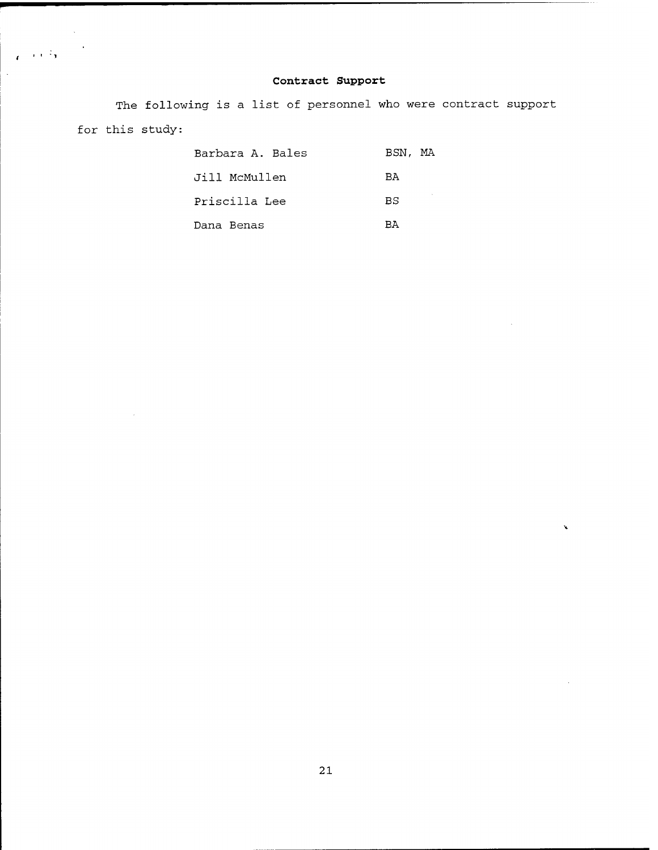# **Contract Support**

The following is a list of personnel who were contract support for this study:

 $\mathcal{L}_{\text{max}}$ 

 $\label{eq:reduced} \mathcal{L} = \mathcal{L} \, \mathcal{L}^{\frac{1}{2}} \mathbf{y} \, \mathcal{L}^{-\frac{1}{2}} \mathbf{y}$ 

 $\ddot{\phantom{a}}$ 

| Barbara A. Bales | BSN, MA   |  |
|------------------|-----------|--|
| Jill McMullen    | <b>BA</b> |  |
| Priscilla Lee    | B.S       |  |
| Dana Benas       | RA        |  |

 $\bar{\mathbf{v}}$ 

 $\sim$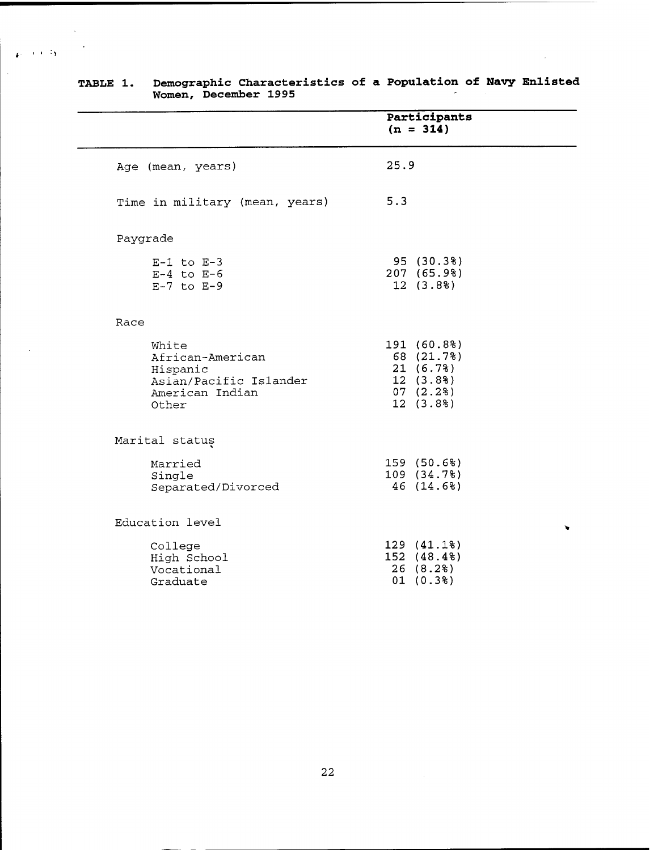|          |                                                                                             |      | Participants<br>$(n = 314)$                                                |
|----------|---------------------------------------------------------------------------------------------|------|----------------------------------------------------------------------------|
|          | Age (mean, years)                                                                           | 25.9 |                                                                            |
|          | Time in military (mean, years)                                                              | 5.3  |                                                                            |
| Paygrade |                                                                                             |      |                                                                            |
|          | $E-1$ to $E-3$<br>$E-4$ to $E-6$<br>$E-7$ to $E-9$                                          |      | 95 (30.3%)<br>207 (65.9%)<br>12(3.88)                                      |
| Race     |                                                                                             |      |                                                                            |
|          | White<br>African-American<br>Hispanic<br>Asian/Pacific Islander<br>American Indian<br>Other |      | 191 (60.8%)<br>68 (21.7%)<br>21(6.7%)<br>12(3.88)<br>07(2.2%)<br>12 (3.8%) |
|          | Marital status                                                                              |      |                                                                            |
|          | Married<br>Single<br>Separated/Divorced                                                     |      | 159 (50.6%)<br>109 (34.7%)<br>46 (14.6%)                                   |
|          | Education level                                                                             |      |                                                                            |
|          | College<br>High School<br>Vocational<br>Graduate                                            |      | 129 (41.1%)<br>152 (48.4%)<br>26(8.2)<br>01(0.3%)                          |

#### **TABLE 1. Demographic Characteristics of Women, December 1995 a Population of Navy Enlisted**

 $\chi$  $\ddot{\phantom{a}}$ 

 $\mathbf{g}_{\rm{in}} = 0.0013\mathbf{g}$  .

 $\bar{\lambda}$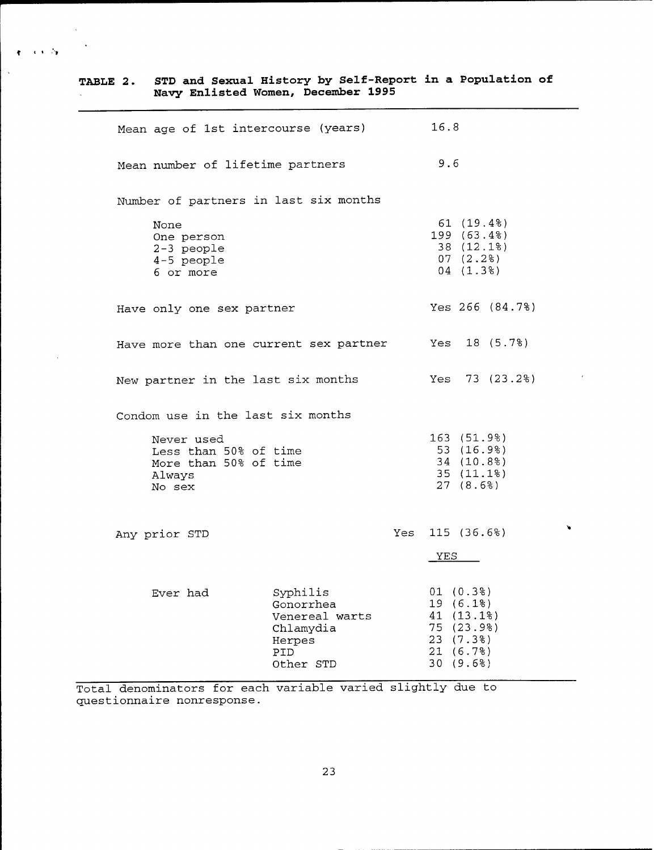| TABLE 2. |                                                                                                                       | Navy Enlisted Women, December 1995                                                 | STD and Sexual History by Self-Report in a Population of                                |
|----------|-----------------------------------------------------------------------------------------------------------------------|------------------------------------------------------------------------------------|-----------------------------------------------------------------------------------------|
|          |                                                                                                                       | Mean age of 1st intercourse (years)                                                | 16.8                                                                                    |
|          | Mean number of lifetime partners                                                                                      |                                                                                    | 9.6                                                                                     |
|          | Number of partners in last six months                                                                                 |                                                                                    |                                                                                         |
|          | None<br>One person<br>2-3 people<br>4-5 people<br>6 or more                                                           |                                                                                    | 61 (19.4%)<br>199 (63.4%)<br>38 (12.1%)<br>07(2.28)<br>04(1.38)                         |
|          | Have only one sex partner                                                                                             |                                                                                    | Yes $266$ $(84.7%)$                                                                     |
|          |                                                                                                                       | Have more than one current sex partner Yes 18 (5.7%)                               |                                                                                         |
|          | New partner in the last six months                                                                                    |                                                                                    | Yes $73(23.2)$                                                                          |
|          | Condom use in the last six months<br>Never used<br>Less than 50% of time<br>More than 50% of time<br>Always<br>No sex |                                                                                    | 163 (51.9%)<br>53 (16.9%)<br>34 (10.8%)<br>35(11.18)<br>27(8.6%)                        |
|          | Any prior STD                                                                                                         |                                                                                    | $\lambda$<br>Yes $115$ (36.6%)<br><b>YES</b>                                            |
|          | Ever had                                                                                                              | Syphilis<br>Gonorrhea<br>Venereal warts<br>Chlamydia<br>Herpes<br>PID<br>Other STD | 01(0.3%)<br>19 (6.1%)<br>41 (13.1%)<br>75 (23.9%)<br>23 (7.3%)<br>21 (6.7%)<br>30(9.6%) |

 $\mathcal{A} \in \mathcal{A}$  .  $\mathcal{B} \in \mathcal{B}$ 

 $\bullet$ 

Total denominators for each variable varied slightly due to questionnaire nonresponse.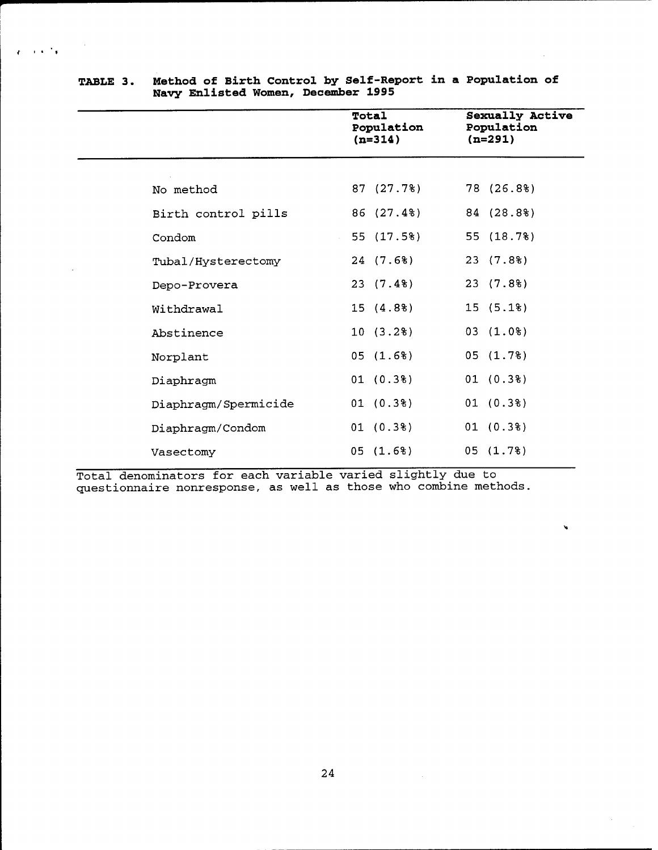|                      | Total<br>Population<br>$(n=314)$ | Sexually Active<br>Population<br>$(n=291)$ |
|----------------------|----------------------------------|--------------------------------------------|
|                      | 87 (27.7%)                       | 78 (26.8%)                                 |
| No method            |                                  |                                            |
| Birth control pills  | 86 (27.4%)                       | 84 (28.8%)                                 |
| Condom               | 55 (17.5%)                       | 55 (18.7%)                                 |
| Tubal/Hysterectomy   | 24(7.68)                         | 23 (7.8%)                                  |
| Depo-Provera         | 23(7.48)                         | 23(7.88)                                   |
| Withdrawal           | 15(4.88)                         | 15(5.18)                                   |
| Abstinence           | 10(3.2%)                         | 03(1.0%)                                   |
| Norplant             | 05(1.6%)                         | 05(1.7%)                                   |
| Diaphragm            | 01(0.38)                         | 01(0.38)                                   |
| Diaphragm/Spermicide | 01(0.3%)                         | 01 (0.3%)                                  |
| Diaphragm/Condom     | 01(0.3%)                         | 01(0.3%)                                   |
| Vasectomy            | 05(1.6%)                         | 05(1.7%)                                   |

## **TABLE 3. Method of Birth Control by Self-Report in a Population of Navy Enlisted Women, December 1995**

 $\sim 10^{-4}$  s

 $\mathbf{r}$ 

Total denominators for each variable varied slightly due to questionnaire nonresponse, as well as those who combine methods.

¥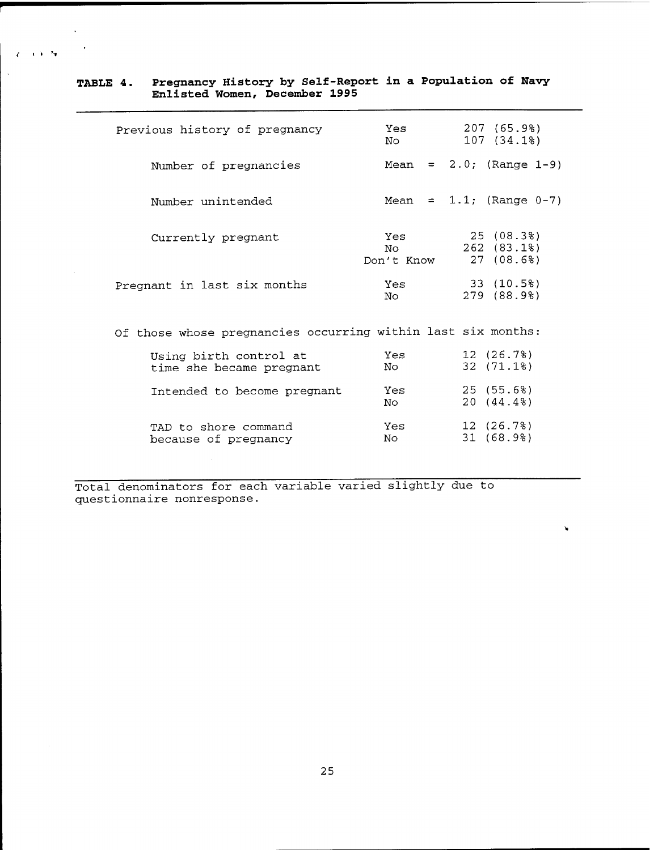| Previous history of pregnancy                                | 207 (65.9%)<br>Yes<br>107 (34.1%)<br>No                                                                                                                                                                                                                                                                                                                                                                                                                                                                                   |
|--------------------------------------------------------------|---------------------------------------------------------------------------------------------------------------------------------------------------------------------------------------------------------------------------------------------------------------------------------------------------------------------------------------------------------------------------------------------------------------------------------------------------------------------------------------------------------------------------|
| Number of pregnancies                                        | Mean = $2.0$ ; (Range 1-9)                                                                                                                                                                                                                                                                                                                                                                                                                                                                                                |
| Number unintended                                            | Mean = $1.1$ ; (Range 0-7)                                                                                                                                                                                                                                                                                                                                                                                                                                                                                                |
| Currently pregnant                                           | 25 (08.3%)<br>Yes and the set of the set of the set of the set of the set of the set of the set of the set of the set of the set of the set of the set of the set of the set of the set of the set of the set of the set of the set of the se<br>262 (83.1%)<br>Noted the North Street of the North Street of the North Street of the North Street of the North Street of the North Street of the North Street of the North Street of the North Street of the North Street of the North Street<br>27(08.6%)<br>Don't Know |
| Pregnant in last six months                                  | 33 (10.5%)<br>Yes<br>279 (88.9%)<br>No                                                                                                                                                                                                                                                                                                                                                                                                                                                                                    |
| Of those whose pregnancies occurring within last six months: |                                                                                                                                                                                                                                                                                                                                                                                                                                                                                                                           |
| Using birth control at<br>time she became pregnant           | 12 (26.7%)<br>Yes<br>32 (71.1%)<br>No                                                                                                                                                                                                                                                                                                                                                                                                                                                                                     |
| Intended to become pregnant                                  | 25 (55.6%)<br>Yes<br>20 (44.4%)<br>No                                                                                                                                                                                                                                                                                                                                                                                                                                                                                     |
| TAD to shore command<br>because of pregnancy                 | 12(26.7%)<br>Yes<br>31(68.9)<br>No                                                                                                                                                                                                                                                                                                                                                                                                                                                                                        |

 $\mathbf{v}$ 

## **TABLE 4. Pregnancy History by Self-Report in a Population of Navy Enlisted Women, December 1995**

*(* <sup>I</sup> <sup>&</sup>gt; 'T

Total denominators for each variable varied slightly due to questionnaire nonresponse.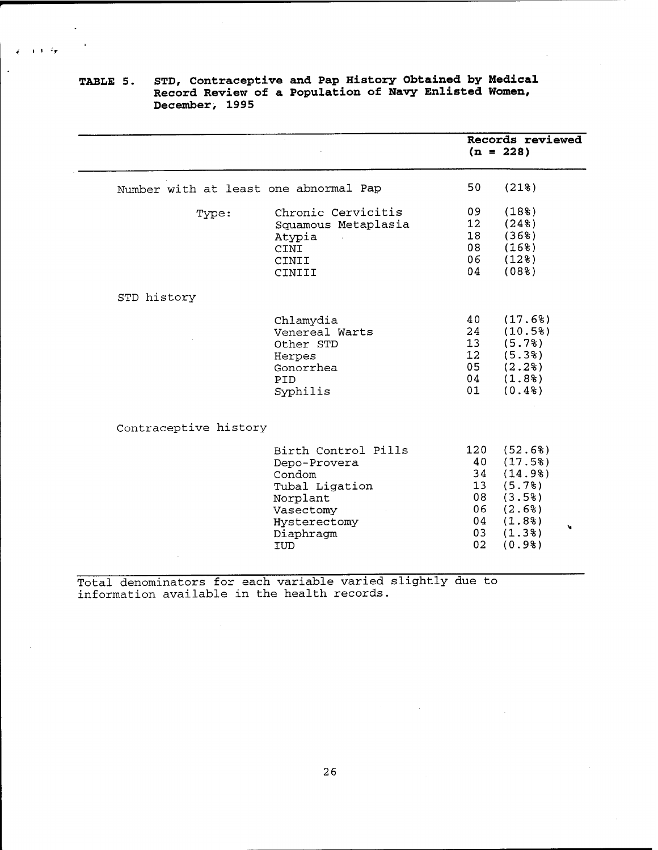|                                       |                                                                                                                                     |                                                     | Records reviewed<br>$(n = 228)$                                                           |
|---------------------------------------|-------------------------------------------------------------------------------------------------------------------------------------|-----------------------------------------------------|-------------------------------------------------------------------------------------------|
| Number with at least one abnormal Pap |                                                                                                                                     | 50                                                  | (218)                                                                                     |
| Type:                                 | Chronic Cervicitis<br>Squamous Metaplasia<br>Atypia<br><b>CINI</b><br>CINII<br>CINIII                                               | 09<br>12 <sub>1</sub><br>18<br>08<br>06<br>04       | (18 <sup>8</sup> )<br>(248)<br>(368)<br>(168)<br>(128)<br>(088)                           |
| STD history                           |                                                                                                                                     |                                                     |                                                                                           |
|                                       | Chlamydia<br>Venereal Warts<br>Other STD<br>Herpes<br>Gonorrhea<br>PID<br>Syphilis                                                  | 40<br>24<br>13<br>12 <sup>1</sup><br>05<br>04<br>01 | (17.6%)<br>(10.58)<br>(5.7)<br>(5.38)<br>(2.2)<br>(1.8)<br>(0.48)                         |
| Contraceptive history                 |                                                                                                                                     |                                                     |                                                                                           |
|                                       | Birth Control Pills<br>Depo-Provera<br>Condom<br>Tubal Ligation<br>Norplant<br>Vasectomy<br>Hysterectomy<br>Diaphragm<br><b>IUD</b> | 120<br>40<br>34<br>13<br>08<br>06<br>04<br>03<br>02 | (52.6%)<br>(17.5%)<br>(14.98)<br>(5.78)<br>(3.58)<br>(2.6%)<br>(1.88)<br>(1.38)<br>(0.98) |

## **TABLE 5. STD, Contraceptive and Pap History Obtained by Medical Record Review of a Population of Navy Enlisted Women, December, 1995**

 $\frac{1}{2}$  and  $\frac{1}{2}$ 

Total denominators for each variable varied slightly due to information available in the health records.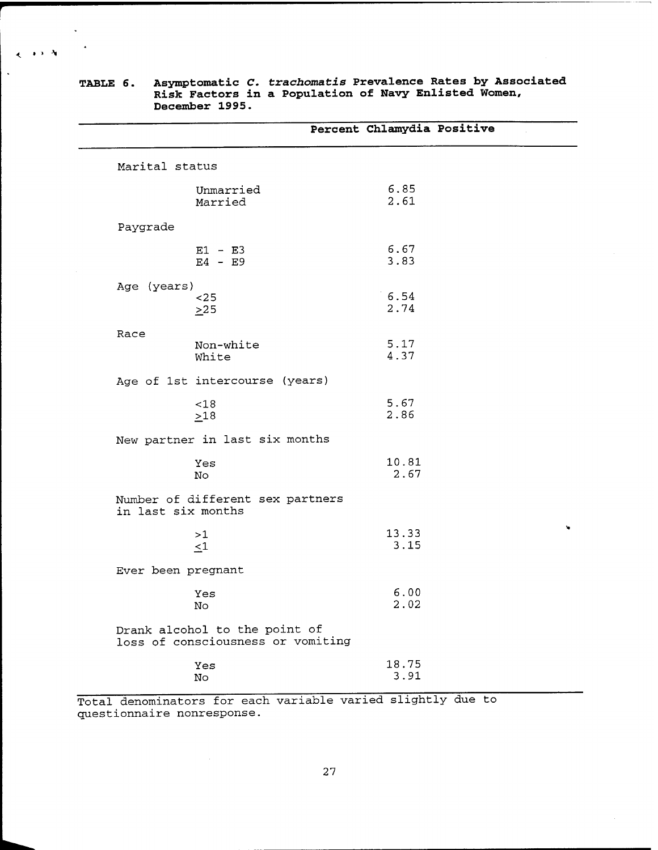|                                                                    | Percent Chlamydia Positive |
|--------------------------------------------------------------------|----------------------------|
| Marital status                                                     |                            |
| Unmarried<br>Married                                               | 6.85<br>2.61               |
| Paygrade                                                           |                            |
| $E1 - E3$<br>$E4 - E9$                                             | 6.67<br>3.83               |
| Age (years)<br>$25$<br>>25                                         | 6.54<br>2.74               |
| Race<br>Non-white<br>White                                         | 5.17<br>4.37               |
| Age of 1st intercourse (years)                                     |                            |
| < 18<br>>18                                                        | 5.67<br>2.86               |
| New partner in last six months                                     |                            |
| Yes<br>$\mathop{\rm No}\nolimits$                                  | 10.81<br>2.67              |
| Number of different sex partners<br>in last six months             |                            |
| >1<br>$\leq 1$                                                     | 13.33<br>3.15              |
| Ever been pregnant                                                 |                            |
| Yes<br>$\mathop{\rm No}\nolimits$                                  | 6.00<br>2.02               |
| Drank alcohol to the point of<br>loss of consciousness or vomiting |                            |
| Yes<br>$\mathop{\rm No}\nolimits$                                  | 18.75<br>3.91              |

**TABLE 6. Asymptomatic** *C. trach.oma.tis* **Prevalence Rates by Associated Risk Factors in a Population of Navy Enlisted Women, December 1995.**

 $\epsilon$  . The  $N$ 

 $\overline{a}$ 

Total denominators for each variable varied slightly due to questionnaire nonresponse.